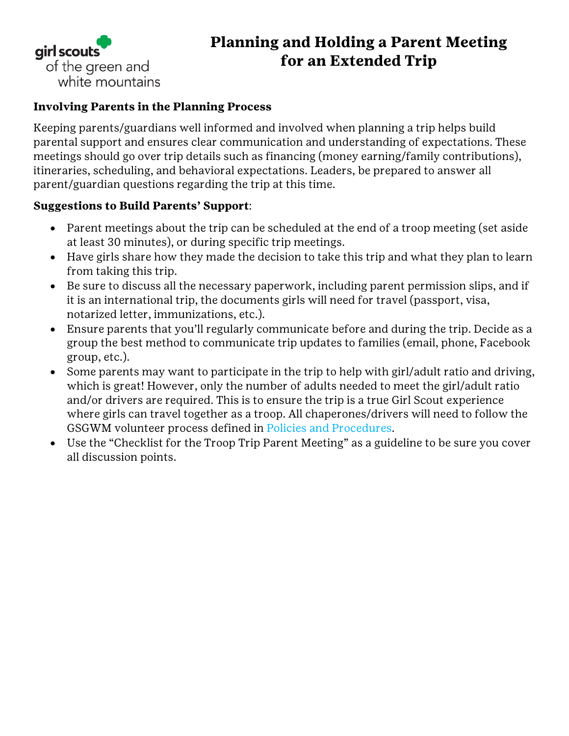

# **Planning and Holding a Parent Meeting for an Extended Trip**

#### **Involving Parents in the Planning Process**

Keeping parents/guardians well informed and involved when planning a trip helps build parental support and ensures clear communication and understanding of expectations. These meetings should go over trip details such as financing (money earning/family contributions), itineraries, scheduling, and behavioral expectations. Leaders, be prepared to answer all parent/guardian questions regarding the trip at this time.

#### **Suggestions to Build Parents' Support**:

- Parent meetings about the trip can be scheduled at the end of a troop meeting (set aside at least 30 minutes), or during specific trip meetings.
- Have girls share how they made the decision to take this trip and what they plan to learn from taking this trip.
- Be sure to discuss all the necessary paperwork, including parent permission slips, and if it is an international trip, the documents girls will need for travel (passport, visa, notarized letter, immunizations, etc.).
- Ensure parents that you'll regularly communicate before and during the trip. Decide as a group the best method to communicate trip updates to families (email, phone, Facebook group, etc.).
- Some parents may want to participate in the trip to help with girl/adult ratio and driving, which is great! However, only the number of adults needed to meet the girl/adult ratio and/or drivers are required. This is to ensure the trip is a true Girl Scout experience where girls can travel together as a troop. All chaperones/drivers will need to follow the GSGWM volunteer process defined in Policies and Procedures.
- Use the "Checklist for the Troop Trip Parent Meeting" as a guideline to be sure you cover all discussion points.